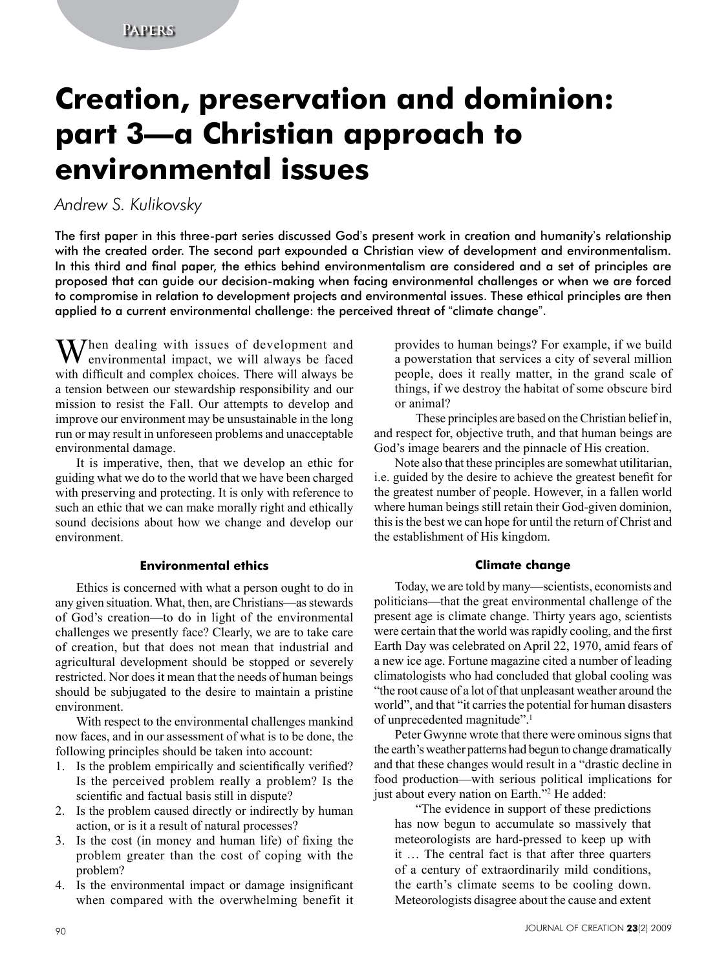# **Creation, preservation and dominion: part 3—a Christian approach to environmental issues**

## *Andrew S. Kulikovsky*

The first paper in this three-part series discussed God's present work in creation and humanity's relationship with the created order. The second part expounded a Christian view of development and environmentalism. In this third and final paper, the ethics behind environmentalism are considered and a set of principles are proposed that can guide our decision-making when facing environmental challenges or when we are forced to compromise in relation to development projects and environmental issues. These ethical principles are then applied to a current environmental challenge: the perceived threat of "climate change".

M/hen dealing with issues of development and environmental impact, we will always be faced with difficult and complex choices. There will always be a tension between our stewardship responsibility and our mission to resist the Fall. Our attempts to develop and improve our environment may be unsustainable in the long run or may result in unforeseen problems and unacceptable environmental damage.

It is imperative, then, that we develop an ethic for guiding what we do to the world that we have been charged with preserving and protecting. It is only with reference to such an ethic that we can make morally right and ethically sound decisions about how we change and develop our environment.

## **Environmental ethics**

Ethics is concerned with what a person ought to do in any given situation. What, then, are Christians—as stewards of God's creation—to do in light of the environmental challenges we presently face? Clearly, we are to take care of creation, but that does not mean that industrial and agricultural development should be stopped or severely restricted. Nor does it mean that the needs of human beings should be subjugated to the desire to maintain a pristine environment.

With respect to the environmental challenges mankind now faces, and in our assessment of what is to be done, the following principles should be taken into account:

- 1. Is the problem empirically and scientifically verified? Is the perceived problem really a problem? Is the scientific and factual basis still in dispute?
- 2. Is the problem caused directly or indirectly by human action, or is it a result of natural processes?
- 3. Is the cost (in money and human life) of fixing the problem greater than the cost of coping with the problem?
- 4. Is the environmental impact or damage insignificant when compared with the overwhelming benefit it

provides to human beings? For example, if we build a powerstation that services a city of several million people, does it really matter, in the grand scale of things, if we destroy the habitat of some obscure bird or animal?

These principles are based on the Christian belief in, and respect for, objective truth, and that human beings are God's image bearers and the pinnacle of His creation.

Note also that these principles are somewhat utilitarian, i.e. guided by the desire to achieve the greatest benefit for the greatest number of people. However, in a fallen world where human beings still retain their God-given dominion, this is the best we can hope for until the return of Christ and the establishment of His kingdom.

## **Climate change**

Today, we are told by many—scientists, economists and politicians—that the great environmental challenge of the present age is climate change. Thirty years ago, scientists were certain that the world was rapidly cooling, and the first Earth Day was celebrated on April 22, 1970, amid fears of a new ice age. Fortune magazine cited a number of leading climatologists who had concluded that global cooling was "the root cause of a lot of that unpleasant weather around the world", and that "it carries the potential for human disasters of unprecedented magnitude".<sup>1</sup>

Peter Gwynne wrote that there were ominous signs that the earth's weather patterns had begun to change dramatically and that these changes would result in a "drastic decline in food production—with serious political implications for just about every nation on Earth."<sup>2</sup> He added:

"The evidence in support of these predictions has now begun to accumulate so massively that meteorologists are hard-pressed to keep up with it … The central fact is that after three quarters of a century of extraordinarily mild conditions, the earth's climate seems to be cooling down. Meteorologists disagree about the cause and extent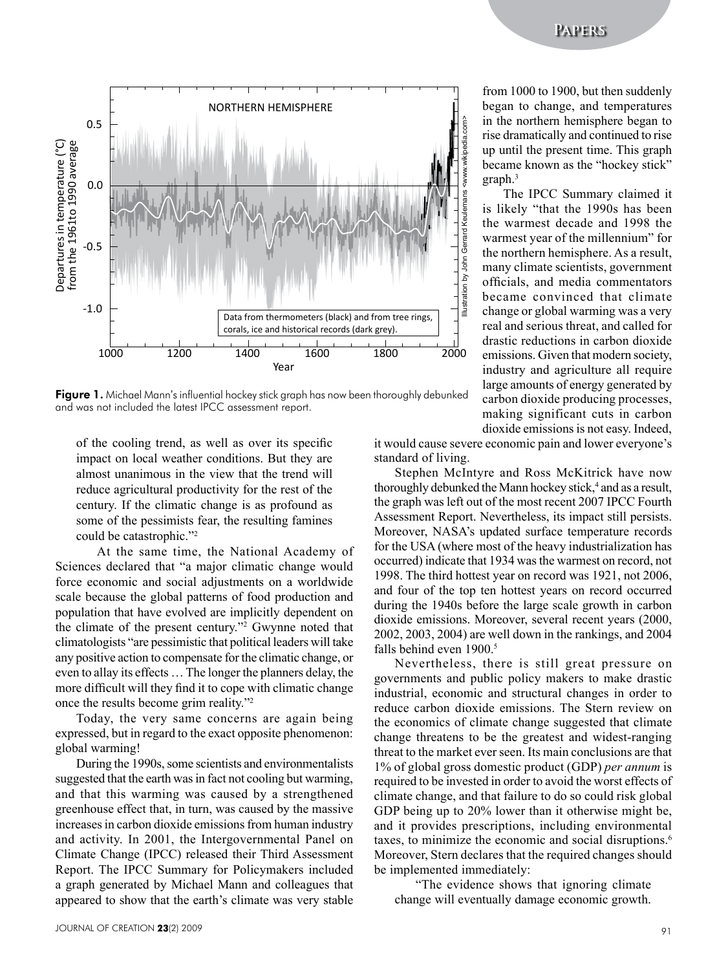

Fiaure 1. Michael Mann's influential hockey stick graph has now been thoroughly debunked and was not included the latest IPCC assessment report.

of the cooling trend, as well as over its specific impact on local weather conditions. But they are almost unanimous in the view that the trend will reduce agricultural productivity for the rest of the century. If the climatic change is as profound as some of the pessimists fear, the resulting famines could be catastrophic."<sup>2</sup>

At the same time, the National Academy of Sciences declared that "a major climatic change would force economic and social adjustments on a worldwide scale because the global patterns of food production and population that have evolved are implicitly dependent on the climate of the present century."<sup>2</sup> Gwynne noted that climatologists "are pessimistic that political leaders will take any positive action to compensate for the climatic change, or even to allay its effects … The longer the planners delay, the more difficult will they find it to cope with climatic change once the results become grim reality."<sup>2</sup>

Today, the very same concerns are again being expressed, but in regard to the exact opposite phenomenon: global warming!

During the 1990s, some scientists and environmentalists suggested that the earth was in fact not cooling but warming, and that this warming was caused by a strengthened greenhouse effect that, in turn, was caused by the massive increases in carbon dioxide emissions from human industry and activity. In 2001, the Intergovernmental Panel on Climate Change (IPCC) released their Third Assessment Report. The IPCC Summary for Policymakers included a graph generated by Michael Mann and colleagues that appeared to show that the earth's climate was very stable

from 1000 to 1900, but then suddenly began to change, and temperatures in the northern hemisphere began to rise dramatically and continued to rise up until the present time. This graph became known as the "hockey stick" graph.<sup>3</sup>

The IPCC Summary claimed it is likely "that the 1990s has been the warmest decade and 1998 the warmest year of the millennium" for the northern hemisphere. As a result, many climate scientists, government officials, and media commentators became convinced that climate change or global warming was a very real and serious threat, and called for drastic reductions in carbon dioxide emissions. Given that modern society, industry and agriculture all require large amounts of energy generated by carbon dioxide producing processes, making significant cuts in carbon dioxide emissions is not easy. Indeed,

it would cause severe economic pain and lower everyone's standard of living.

Stephen McIntyre and Ross McKitrick have now thoroughly debunked the Mann hockey stick,<sup>4</sup> and as a result, the graph was left out of the most recent 2007 IPCC Fourth Assessment Report. Nevertheless, its impact still persists. Moreover, NASA's updated surface temperature records for the USA (where most of the heavy industrialization has occurred) indicate that 1934 was the warmest on record, not 1998. The third hottest year on record was 1921, not 2006, and four of the top ten hottest years on record occurred during the 1940s before the large scale growth in carbon dioxide emissions. Moreover, several recent years (2000, 2002, 2003, 2004) are well down in the rankings, and 2004 falls behind even 1900.<sup>5</sup>

Nevertheless, there is still great pressure on governments and public policy makers to make drastic industrial, economic and structural changes in order to reduce carbon dioxide emissions. The Stern review on the economics of climate change suggested that climate change threatens to be the greatest and widest-ranging threat to the market ever seen. Its main conclusions are that 1% of global gross domestic product (GDP) *per annum* is required to be invested in order to avoid the worst effects of climate change, and that failure to do so could risk global GDP being up to 20% lower than it otherwise might be, and it provides prescriptions, including environmental taxes, to minimize the economic and social disruptions.<sup>6</sup> Moreover, Stern declares that the required changes should be implemented immediately:

"The evidence shows that ignoring climate change will eventually damage economic growth.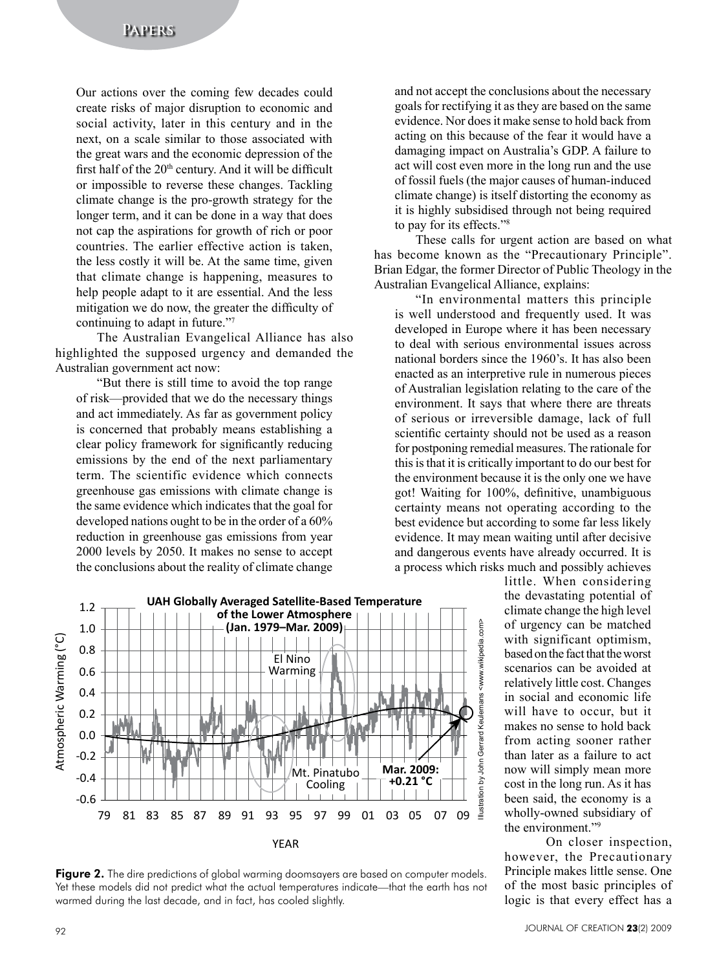Our actions over the coming few decades could create risks of major disruption to economic and social activity, later in this century and in the next, on a scale similar to those associated with the great wars and the economic depression of the first half of the 20<sup>th</sup> century. And it will be difficult or impossible to reverse these changes. Tackling climate change is the pro-growth strategy for the longer term, and it can be done in a way that does not cap the aspirations for growth of rich or poor countries. The earlier effective action is taken, the less costly it will be. At the same time, given that climate change is happening, measures to help people adapt to it are essential. And the less mitigation we do now, the greater the difficulty of continuing to adapt in future."<sup>7</sup>

The Australian Evangelical Alliance has also highlighted the supposed urgency and demanded the Australian government act now:

"But there is still time to avoid the top range of risk—provided that we do the necessary things and act immediately. As far as government policy is concerned that probably means establishing a clear policy framework for significantly reducing emissions by the end of the next parliamentary term. The scientific evidence which connects greenhouse gas emissions with climate change is the same evidence which indicates that the goal for developed nations ought to be in the order of a 60% reduction in greenhouse gas emissions from year 2000 levels by 2050. It makes no sense to accept the conclusions about the reality of climate change

and not accept the conclusions about the necessary goals for rectifying it as they are based on the same evidence. Nor does it make sense to hold back from acting on this because of the fear it would have a damaging impact on Australia's GDP. A failure to act will cost even more in the long run and the use of fossil fuels (the major causes of human-induced climate change) is itself distorting the economy as it is highly subsidised through not being required to pay for its effects."<sup>8</sup>

These calls for urgent action are based on what has become known as the "Precautionary Principle". Brian Edgar, the former Director of Public Theology in the Australian Evangelical Alliance, explains:

"In environmental matters this principle is well understood and frequently used. It was developed in Europe where it has been necessary to deal with serious environmental issues across national borders since the 1960's. It has also been enacted as an interpretive rule in numerous pieces of Australian legislation relating to the care of the environment. It says that where there are threats of serious or irreversible damage, lack of full scientific certainty should not be used as a reason for postponing remedial measures. The rationale for this is that it is critically important to do our best for the environment because it is the only one we have got! Waiting for 100%, definitive, unambiguous certainty means not operating according to the best evidence but according to some far less likely evidence. It may mean waiting until after decisive and dangerous events have already occurred. It is a process which risks much and possibly achieves



little. When considering the devastating potential of climate change the high level of urgency can be matched with significant optimism, based on the fact that the worst scenarios can be avoided at relatively little cost. Changes in social and economic life will have to occur, but it makes no sense to hold back from acting sooner rather than later as a failure to act now will simply mean more cost in the long run. As it has been said, the economy is a wholly-owned subsidiary of the environment."<sup>9</sup>

On closer inspection, however, the Precautionary Principle makes little sense. One of the most basic principles of logic is that every effect has a

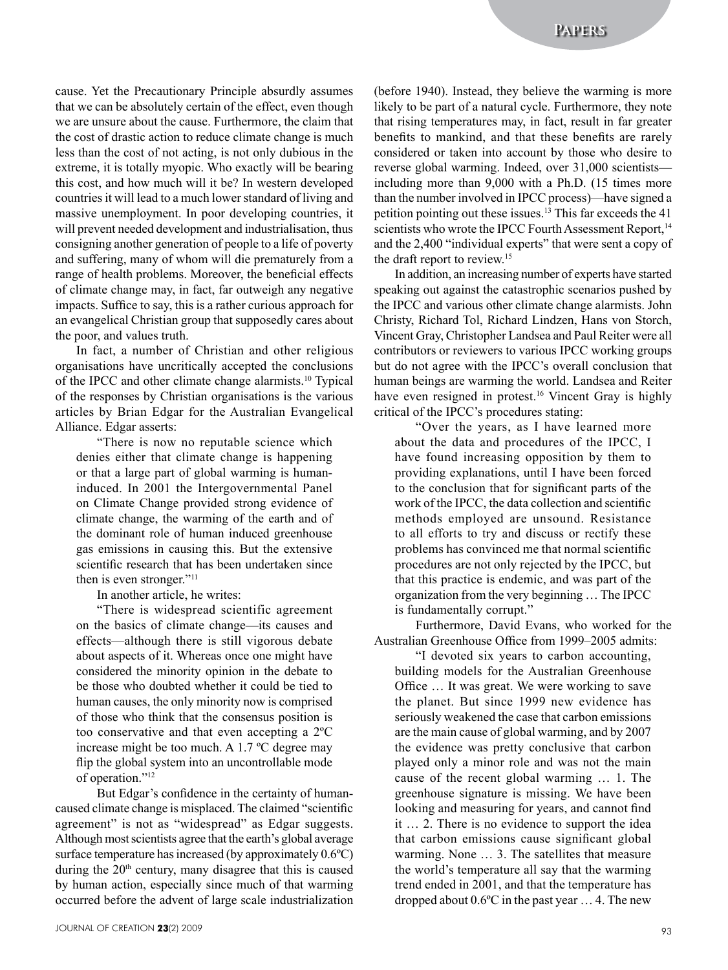cause. Yet the Precautionary Principle absurdly assumes that we can be absolutely certain of the effect, even though we are unsure about the cause. Furthermore, the claim that the cost of drastic action to reduce climate change is much less than the cost of not acting, is not only dubious in the extreme, it is totally myopic. Who exactly will be bearing this cost, and how much will it be? In western developed countries it will lead to a much lower standard of living and massive unemployment. In poor developing countries, it will prevent needed development and industrialisation, thus consigning another generation of people to a life of poverty and suffering, many of whom will die prematurely from a range of health problems. Moreover, the beneficial effects of climate change may, in fact, far outweigh any negative impacts. Suffice to say, this is a rather curious approach for an evangelical Christian group that supposedly cares about the poor, and values truth.

In fact, a number of Christian and other religious organisations have uncritically accepted the conclusions of the IPCC and other climate change alarmists.<sup>10</sup> Typical of the responses by Christian organisations is the various articles by Brian Edgar for the Australian Evangelical Alliance. Edgar asserts:

"There is now no reputable science which denies either that climate change is happening or that a large part of global warming is humaninduced. In 2001 the Intergovernmental Panel on Climate Change provided strong evidence of climate change, the warming of the earth and of the dominant role of human induced greenhouse gas emissions in causing this. But the extensive scientific research that has been undertaken since then is even stronger."<sup>11</sup>

In another article, he writes:

"There is widespread scientific agreement on the basics of climate change—its causes and effects—although there is still vigorous debate about aspects of it. Whereas once one might have considered the minority opinion in the debate to be those who doubted whether it could be tied to human causes, the only minority now is comprised of those who think that the consensus position is too conservative and that even accepting a 2ºC increase might be too much. A 1.7 ºC degree may flip the global system into an uncontrollable mode of operation."<sup>12</sup>

But Edgar's confidence in the certainty of humancaused climate change is misplaced. The claimed "scientific agreement" is not as "widespread" as Edgar suggests. Although most scientists agree that the earth's global average surface temperature has increased (by approximately 0.6ºC) during the  $20<sup>th</sup>$  century, many disagree that this is caused by human action, especially since much of that warming occurred before the advent of large scale industrialization

(before 1940). Instead, they believe the warming is more likely to be part of a natural cycle. Furthermore, they note that rising temperatures may, in fact, result in far greater benefits to mankind, and that these benefits are rarely considered or taken into account by those who desire to reverse global warming. Indeed, over 31,000 scientists including more than 9,000 with a Ph.D. (15 times more than the number involved in IPCC process)—have signed a petition pointing out these issues.<sup>13</sup> This far exceeds the 41 scientists who wrote the IPCC Fourth Assessment Report,<sup>14</sup> and the 2,400 "individual experts" that were sent a copy of the draft report to review.<sup>15</sup>

In addition, an increasing number of experts have started speaking out against the catastrophic scenarios pushed by the IPCC and various other climate change alarmists. John Christy, Richard Tol, Richard Lindzen, Hans von Storch, Vincent Gray, Christopher Landsea and Paul Reiter were all contributors or reviewers to various IPCC working groups but do not agree with the IPCC's overall conclusion that human beings are warming the world. Landsea and Reiter have even resigned in protest.<sup>16</sup> Vincent Gray is highly critical of the IPCC's procedures stating:

"Over the years, as I have learned more about the data and procedures of the IPCC, I have found increasing opposition by them to providing explanations, until I have been forced to the conclusion that for significant parts of the work of the IPCC, the data collection and scientific methods employed are unsound. Resistance to all efforts to try and discuss or rectify these problems has convinced me that normal scientific procedures are not only rejected by the IPCC, but that this practice is endemic, and was part of the organization from the very beginning … The IPCC is fundamentally corrupt."

Furthermore, David Evans, who worked for the Australian Greenhouse Office from 1999–2005 admits:

"I devoted six years to carbon accounting, building models for the Australian Greenhouse Office … It was great. We were working to save the planet. But since 1999 new evidence has seriously weakened the case that carbon emissions are the main cause of global warming, and by 2007 the evidence was pretty conclusive that carbon played only a minor role and was not the main cause of the recent global warming … 1. The greenhouse signature is missing. We have been looking and measuring for years, and cannot find it … 2. There is no evidence to support the idea that carbon emissions cause significant global warming. None … 3. The satellites that measure the world's temperature all say that the warming trend ended in 2001, and that the temperature has dropped about 0.6ºC in the past year … 4. The new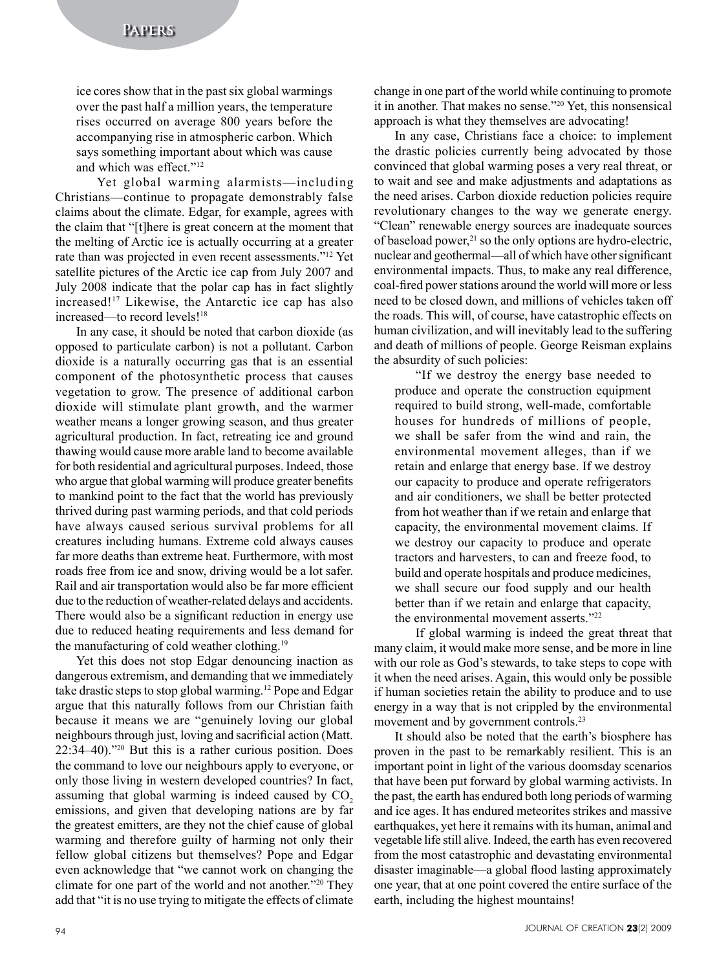ice cores show that in the past six global warmings over the past half a million years, the temperature rises occurred on average 800 years before the accompanying rise in atmospheric carbon. Which says something important about which was cause and which was effect."<sup>12</sup>

Yet global warming alarmists—including Christians—continue to propagate demonstrably false claims about the climate. Edgar, for example, agrees with the claim that "[t]here is great concern at the moment that the melting of Arctic ice is actually occurring at a greater rate than was projected in even recent assessments."<sup>12</sup> Yet satellite pictures of the Arctic ice cap from July 2007 and July 2008 indicate that the polar cap has in fact slightly increased!17 Likewise, the Antarctic ice cap has also increased—to record levels!<sup>18</sup>

In any case, it should be noted that carbon dioxide (as opposed to particulate carbon) is not a pollutant. Carbon dioxide is a naturally occurring gas that is an essential component of the photosynthetic process that causes vegetation to grow. The presence of additional carbon dioxide will stimulate plant growth, and the warmer weather means a longer growing season, and thus greater agricultural production. In fact, retreating ice and ground thawing would cause more arable land to become available for both residential and agricultural purposes. Indeed, those who argue that global warming will produce greater benefits to mankind point to the fact that the world has previously thrived during past warming periods, and that cold periods have always caused serious survival problems for all creatures including humans. Extreme cold always causes far more deaths than extreme heat. Furthermore, with most roads free from ice and snow, driving would be a lot safer. Rail and air transportation would also be far more efficient due to the reduction of weather-related delays and accidents. There would also be a significant reduction in energy use due to reduced heating requirements and less demand for the manufacturing of cold weather clothing.<sup>19</sup>

Yet this does not stop Edgar denouncing inaction as dangerous extremism, and demanding that we immediately take drastic steps to stop global warming.12 Pope and Edgar argue that this naturally follows from our Christian faith because it means we are "genuinely loving our global neighbours through just, loving and sacrificial action (Matt. 22:34–40)."<sup>20</sup> But this is a rather curious position. Does the command to love our neighbours apply to everyone, or only those living in western developed countries? In fact, assuming that global warming is indeed caused by  $CO<sub>2</sub>$ emissions, and given that developing nations are by far the greatest emitters, are they not the chief cause of global warming and therefore guilty of harming not only their fellow global citizens but themselves? Pope and Edgar even acknowledge that "we cannot work on changing the climate for one part of the world and not another."<sup>20</sup> They add that "it is no use trying to mitigate the effects of climate

change in one part of the world while continuing to promote it in another. That makes no sense."<sup>20</sup> Yet, this nonsensical approach is what they themselves are advocating!

In any case, Christians face a choice: to implement the drastic policies currently being advocated by those convinced that global warming poses a very real threat, or to wait and see and make adjustments and adaptations as the need arises. Carbon dioxide reduction policies require revolutionary changes to the way we generate energy. "Clean" renewable energy sources are inadequate sources of baseload power, $21$  so the only options are hydro-electric, nuclear and geothermal—all of which have other significant environmental impacts. Thus, to make any real difference, coal-fired power stations around the world will more or less need to be closed down, and millions of vehicles taken off the roads. This will, of course, have catastrophic effects on human civilization, and will inevitably lead to the suffering and death of millions of people. George Reisman explains the absurdity of such policies:

"If we destroy the energy base needed to produce and operate the construction equipment required to build strong, well-made, comfortable houses for hundreds of millions of people, we shall be safer from the wind and rain, the environmental movement alleges, than if we retain and enlarge that energy base. If we destroy our capacity to produce and operate refrigerators and air conditioners, we shall be better protected from hot weather than if we retain and enlarge that capacity, the environmental movement claims. If we destroy our capacity to produce and operate tractors and harvesters, to can and freeze food, to build and operate hospitals and produce medicines, we shall secure our food supply and our health better than if we retain and enlarge that capacity, the environmental movement asserts."<sup>22</sup>

If global warming is indeed the great threat that many claim, it would make more sense, and be more in line with our role as God's stewards, to take steps to cope with it when the need arises. Again, this would only be possible if human societies retain the ability to produce and to use energy in a way that is not crippled by the environmental movement and by government controls.<sup>23</sup>

It should also be noted that the earth's biosphere has proven in the past to be remarkably resilient. This is an important point in light of the various doomsday scenarios that have been put forward by global warming activists. In the past, the earth has endured both long periods of warming and ice ages. It has endured meteorites strikes and massive earthquakes, yet here it remains with its human, animal and vegetable life still alive. Indeed, the earth has even recovered from the most catastrophic and devastating environmental disaster imaginable—a global flood lasting approximately one year, that at one point covered the entire surface of the earth, including the highest mountains!